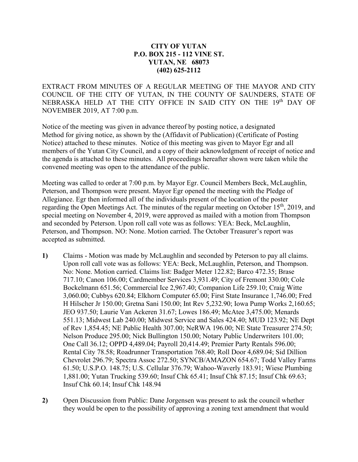## **CITY OF YUTAN P.O. BOX 215 - 112 VINE ST. YUTAN, NE 68073 (402) 625-2112**

EXTRACT FROM MINUTES OF A REGULAR MEETING OF THE MAYOR AND CITY COUNCIL OF THE CITY OF YUTAN, IN THE COUNTY OF SAUNDERS, STATE OF NEBRASKA HELD AT THE CITY OFFICE IN SAID CITY ON THE 19th DAY OF NOVEMBER 2019, AT 7:00 p.m.

Notice of the meeting was given in advance thereof by posting notice, a designated Method for giving notice, as shown by the (Affidavit of Publication) (Certificate of Posting Notice) attached to these minutes. Notice of this meeting was given to Mayor Egr and all members of the Yutan City Council, and a copy of their acknowledgment of receipt of notice and the agenda is attached to these minutes. All proceedings hereafter shown were taken while the convened meeting was open to the attendance of the public.

Meeting was called to order at 7:00 p.m. by Mayor Egr. Council Members Beck, McLaughlin, Peterson, and Thompson were present. Mayor Egr opened the meeting with the Pledge of Allegiance. Egr then informed all of the individuals present of the location of the poster regarding the Open Meetings Act. The minutes of the regular meeting on October 15<sup>th</sup>, 2019, and special meeting on November 4, 2019, were approved as mailed with a motion from Thompson and seconded by Peterson. Upon roll call vote was as follows: YEA: Beck, McLaughlin, Peterson, and Thompson. NO: None. Motion carried. The October Treasurer's report was accepted as submitted.

- **1)** Claims Motion was made by McLaughlin and seconded by Peterson to pay all claims. Upon roll call vote was as follows: YEA: Beck, McLaughlin, Peterson, and Thompson. No: None. Motion carried. Claims list: Badger Meter 122.82; Barco 472.35; Brase 717.10; Canon 106.00; Cardmember Services 3,931.49; City of Fremont 330.00; Cole Bockelmann 651.56; Commercial Ice 2,967.40; Companion Life 259.10; Craig Witte 3,060.00; Cubbys 620.84; Elkhorn Computer 65.00; First State Insurance 1,746.00; Fred H Hilscher Jr 150.00; Gretna Sani 150.00; Int Rev 5,232.90; Iowa Pump Works 2,160.65; JEO 937.50; Laurie Van Ackeren 31.67; Lowes 186.49; McAtee 3,475.00; Menards 551.13; Midwest Lab 240.00; Midwest Service and Sales 424.40; MUD 123.92; NE Dept of Rev 1,854.45; NE Public Health 307.00; NeRWA 196.00; NE State Treasurer 274.50; Nelson Produce 295.00; Nick Bullington 150.00; Notary Public Underwriters 101.00; One Call 36.12; OPPD 4,489.04; Payroll 20,414.49; Premier Party Rentals 596.00; Rental City 78.58; Roadrunner Transportation 768.40; Roll Door 4,689.04; Sid Dillion Chevrolet 296.79; Spectra Assoc 272.50; SYNCB/AMAZON 654.67; Todd Valley Farms 61.50; U.S.P.O. 148.75; U.S. Cellular 376.79; Wahoo-Waverly 183.91; Wiese Plumbing 1,881.00; Yutan Trucking 539.60; Insuf Chk 65.41; Insuf Chk 87.15; Insuf Chk 69.63; Insuf Chk 60.14; Insuf Chk 148.94
- **2)** Open Discussion from Public: Dane Jorgensen was present to ask the council whether they would be open to the possibility of approving a zoning text amendment that would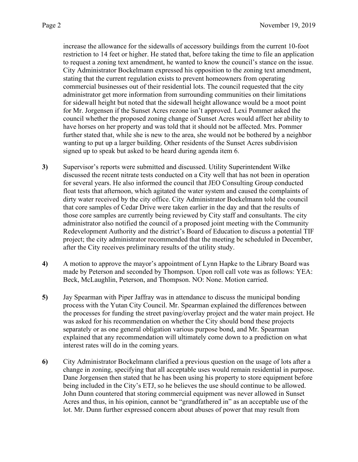increase the allowance for the sidewalls of accessory buildings from the current 10-foot restriction to 14 feet or higher. He stated that, before taking the time to file an application to request a zoning text amendment, he wanted to know the council's stance on the issue. City Administrator Bockelmann expressed his opposition to the zoning text amendment, stating that the current regulation exists to prevent homeowners from operating commercial businesses out of their residential lots. The council requested that the city administrator get more information from surrounding communities on their limitations for sidewall height but noted that the sidewall height allowance would be a moot point for Mr. Jorgensen if the Sunset Acres rezone isn't approved. Lexi Pommer asked the council whether the proposed zoning change of Sunset Acres would affect her ability to have horses on her property and was told that it should not be affected. Mrs. Pommer further stated that, while she is new to the area, she would not be bothered by a neighbor wanting to put up a larger building. Other residents of the Sunset Acres subdivision signed up to speak but asked to be heard during agenda item 6.

- **3)** Supervisor's reports were submitted and discussed. Utility Superintendent Wilke discussed the recent nitrate tests conducted on a City well that has not been in operation for several years. He also informed the council that JEO Consulting Group conducted float tests that afternoon, which agitated the water system and caused the complaints of dirty water received by the city office. City Administrator Bockelmann told the council that core samples of Cedar Drive were taken earlier in the day and that the results of those core samples are currently being reviewed by City staff and consultants. The city administrator also notified the council of a proposed joint meeting with the Community Redevelopment Authority and the district's Board of Education to discuss a potential TIF project; the city administrator recommended that the meeting be scheduled in December, after the City receives preliminary results of the utility study.
- **4)** A motion to approve the mayor's appointment of Lynn Hapke to the Library Board was made by Peterson and seconded by Thompson. Upon roll call vote was as follows: YEA: Beck, McLaughlin, Peterson, and Thompson. NO: None. Motion carried.
- **5)** Jay Spearman with Piper Jaffray was in attendance to discuss the municipal bonding process with the Yutan City Council. Mr. Spearman explained the differences between the processes for funding the street paving/overlay project and the water main project. He was asked for his recommendation on whether the City should bond these projects separately or as one general obligation various purpose bond, and Mr. Spearman explained that any recommendation will ultimately come down to a prediction on what interest rates will do in the coming years.
- **6)** City Administrator Bockelmann clarified a previous question on the usage of lots after a change in zoning, specifying that all acceptable uses would remain residential in purpose. Dane Jorgensen then stated that he has been using his property to store equipment before being included in the City's ETJ, so he believes the use should continue to be allowed. John Dunn countered that storing commercial equipment was never allowed in Sunset Acres and thus, in his opinion, cannot be "grandfathered in" as an acceptable use of the lot. Mr. Dunn further expressed concern about abuses of power that may result from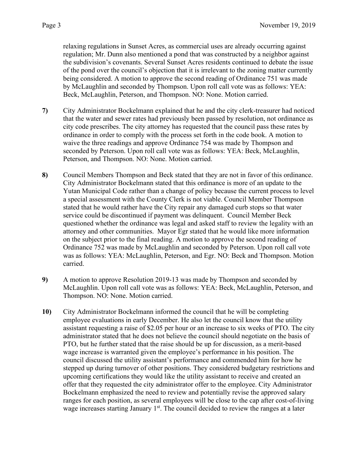relaxing regulations in Sunset Acres, as commercial uses are already occurring against regulation; Mr. Dunn also mentioned a pond that was constructed by a neighbor against the subdivision's covenants. Several Sunset Acres residents continued to debate the issue of the pond over the council's objection that it is irrelevant to the zoning matter currently being considered. A motion to approve the second reading of Ordinance 751 was made by McLaughlin and seconded by Thompson. Upon roll call vote was as follows: YEA: Beck, McLaughlin, Peterson, and Thompson. NO: None. Motion carried.

- **7)** City Administrator Bockelmann explained that he and the city clerk-treasurer had noticed that the water and sewer rates had previously been passed by resolution, not ordinance as city code prescribes. The city attorney has requested that the council pass these rates by ordinance in order to comply with the process set forth in the code book. A motion to waive the three readings and approve Ordinance 754 was made by Thompson and seconded by Peterson. Upon roll call vote was as follows: YEA: Beck, McLaughlin, Peterson, and Thompson. NO: None. Motion carried.
- **8)** Council Members Thompson and Beck stated that they are not in favor of this ordinance. City Administrator Bockelmann stated that this ordinance is more of an update to the Yutan Municipal Code rather than a change of policy because the current process to level a special assessment with the County Clerk is not viable. Council Member Thompson stated that he would rather have the City repair any damaged curb stops so that water service could be discontinued if payment was delinquent. Council Member Beck questioned whether the ordinance was legal and asked staff to review the legality with an attorney and other communities. Mayor Egr stated that he would like more information on the subject prior to the final reading. A motion to approve the second reading of Ordinance 752 was made by McLaughlin and seconded by Peterson. Upon roll call vote was as follows: YEA: McLaughlin, Peterson, and Egr. NO: Beck and Thompson. Motion carried.
- **9)** A motion to approve Resolution 2019-13 was made by Thompson and seconded by McLaughlin. Upon roll call vote was as follows: YEA: Beck, McLaughlin, Peterson, and Thompson. NO: None. Motion carried.
- **10)** City Administrator Bockelmann informed the council that he will be completing employee evaluations in early December. He also let the council know that the utility assistant requesting a raise of \$2.05 per hour or an increase to six weeks of PTO. The city administrator stated that he does not believe the council should negotiate on the basis of PTO, but he further stated that the raise should be up for discussion, as a merit-based wage increase is warranted given the employee's performance in his position. The council discussed the utility assistant's performance and commended him for how he stepped up during turnover of other positions. They considered budgetary restrictions and upcoming certifications they would like the utility assistant to receive and created an offer that they requested the city administrator offer to the employee. City Administrator Bockelmann emphasized the need to review and potentially revise the approved salary ranges for each position, as several employees will be close to the cap after cost-of-living wage increases starting January 1<sup>st</sup>. The council decided to review the ranges at a later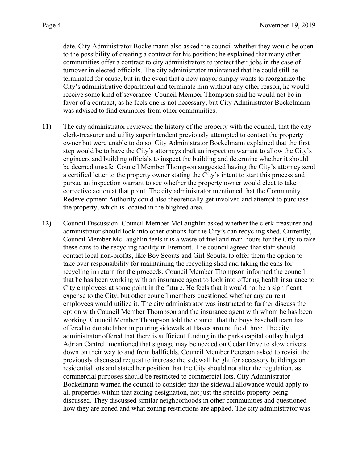date. City Administrator Bockelmann also asked the council whether they would be open to the possibility of creating a contract for his position; he explained that many other communities offer a contract to city administrators to protect their jobs in the case of turnover in elected officials. The city administrator maintained that he could still be terminated for cause, but in the event that a new mayor simply wants to reorganize the City's administrative department and terminate him without any other reason, he would receive some kind of severance. Council Member Thompson said he would not be in favor of a contract, as he feels one is not necessary, but City Administrator Bockelmann was advised to find examples from other communities.

- **11)** The city administrator reviewed the history of the property with the council, that the city clerk-treasurer and utility superintendent previously attempted to contact the property owner but were unable to do so. City Administrator Bockelmann explained that the first step would be to have the City's attorneys draft an inspection warrant to allow the City's engineers and building officials to inspect the building and determine whether it should be deemed unsafe. Council Member Thompson suggested having the City's attorney send a certified letter to the property owner stating the City's intent to start this process and pursue an inspection warrant to see whether the property owner would elect to take corrective action at that point. The city administrator mentioned that the Community Redevelopment Authority could also theoretically get involved and attempt to purchase the property, which is located in the blighted area.
- **12)** Council Discussion: Council Member McLaughlin asked whether the clerk-treasurer and administrator should look into other options for the City's can recycling shed. Currently, Council Member McLaughlin feels it is a waste of fuel and man-hours for the City to take these cans to the recycling facility in Fremont. The council agreed that staff should contact local non-profits, like Boy Scouts and Girl Scouts, to offer them the option to take over responsibility for maintaining the recycling shed and taking the cans for recycling in return for the proceeds. Council Member Thompson informed the council that he has been working with an insurance agent to look into offering health insurance to City employees at some point in the future. He feels that it would not be a significant expense to the City, but other council members questioned whether any current employees would utilize it. The city administrator was instructed to further discuss the option with Council Member Thompson and the insurance agent with whom he has been working. Council Member Thompson told the council that the boys baseball team has offered to donate labor in pouring sidewalk at Hayes around field three. The city administrator offered that there is sufficient funding in the parks capital outlay budget. Adrian Cantrell mentioned that signage may be needed on Cedar Drive to slow drivers down on their way to and from ballfields. Council Member Peterson asked to revisit the previously discussed request to increase the sidewall height for accessory buildings on residential lots and stated her position that the City should not alter the regulation, as commercial purposes should be restricted to commercial lots. City Administrator Bockelmann warned the council to consider that the sidewall allowance would apply to all properties within that zoning designation, not just the specific property being discussed. They discussed similar neighborhoods in other communities and questioned how they are zoned and what zoning restrictions are applied. The city administrator was